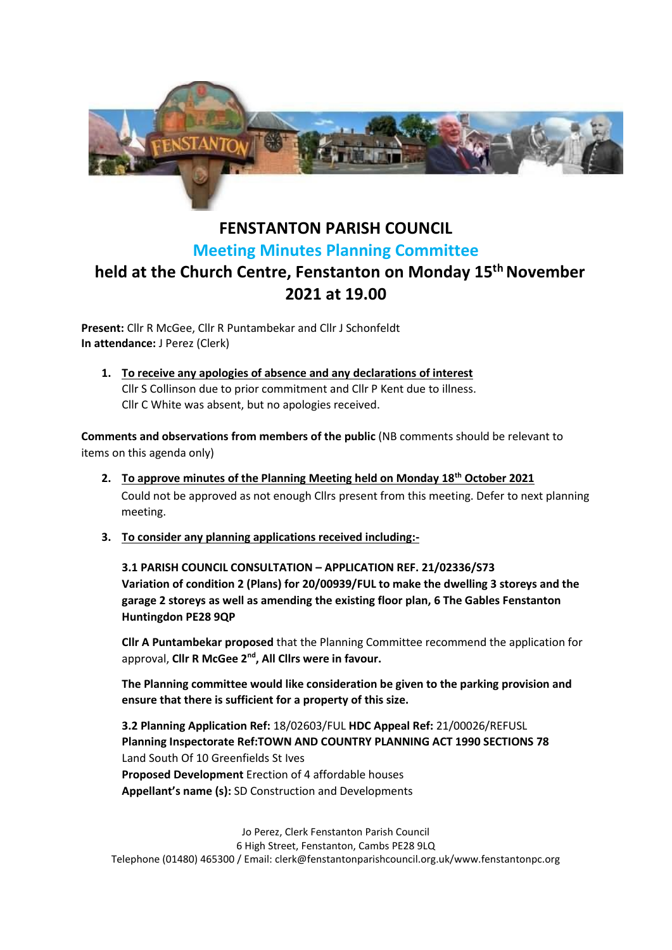

## **FENSTANTON PARISH COUNCIL Meeting Minutes Planning Committee held at the Church Centre, Fenstanton on Monday 15 th November 2021 at 19.00**

**Present:** Cllr R McGee, Cllr R Puntambekar and Cllr J Schonfeldt **In attendance:** J Perez (Clerk)

**1. To receive any apologies of absence and any declarations of interest** Cllr S Collinson due to prior commitment and Cllr P Kent due to illness. Cllr C White was absent, but no apologies received.

**Comments and observations from members of the public** (NB comments should be relevant to items on this agenda only)

- **2. To approve minutes of the Planning Meeting held on Monday 18th October 2021** Could not be approved as not enough Cllrs present from this meeting. Defer to next planning meeting.
- **3. To consider any planning applications received including:-**

**3.1 PARISH COUNCIL CONSULTATION – APPLICATION REF. 21/02336/S73 Variation of condition 2 (Plans) for 20/00939/FUL to make the dwelling 3 storeys and the garage 2 storeys as well as amending the existing floor plan, 6 The Gables Fenstanton Huntingdon PE28 9QP**

**Cllr A Puntambekar proposed** that the Planning Committee recommend the application for approval, **Cllr R McGee 2nd, All Cllrs were in favour.**

**The Planning committee would like consideration be given to the parking provision and ensure that there is sufficient for a property of this size.**

**3.2 Planning Application Ref:** 18/02603/FUL **HDC Appeal Ref:** 21/00026/REFUSL **Planning Inspectorate Ref:TOWN AND COUNTRY PLANNING ACT 1990 SECTIONS 78** Land South Of 10 Greenfields St Ives **Proposed Development** Erection of 4 affordable houses **Appellant's name (s):** SD Construction and Developments

Jo Perez, Clerk Fenstanton Parish Council 6 High Street, Fenstanton, Cambs PE28 9LQ Telephone (01480) 465300 / Email: clerk@fenstantonparishcouncil.org.uk/www.fenstantonpc.org